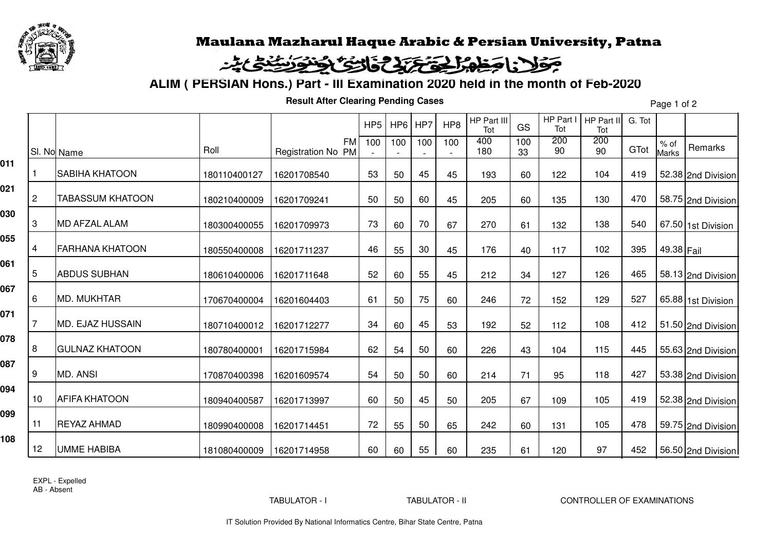

## Maulana Mazharul Haque Arabic & Persian University, Patna

## فاحظه الحقة تذارئ الخنوشين جولا

**ALIM ( PERSIAN Hons.) Part - III Examination 2020 held in the month of Feb-2020**

**Result After Clearing Pending Cases**

Page 1 of 2

|     |    |                         |              |                                 | HP <sub>5</sub> | H P6 | HP7 | HP <sub>8</sub> | HP Part III<br>Tot | GS        | HP Part I<br>Tot | HP Part II<br>Tot | G. Tot |                        |                    |
|-----|----|-------------------------|--------------|---------------------------------|-----------------|------|-----|-----------------|--------------------|-----------|------------------|-------------------|--------|------------------------|--------------------|
|     |    | SI. No Name             | Roll         | <b>FM</b><br>Registration No PM | 100             | 100  | 100 | 100             | 400<br>180         | 100<br>33 | 200<br>90        | 200<br>90         | GTot   | $%$ of<br><b>Marks</b> | Remarks            |
| 011 |    | <b>SABIHA KHATOON</b>   | 180110400127 | 16201708540                     | 53              | 50   | 45  | 45              | 193                | 60        | 122              | 104               | 419    |                        | 52.38 2nd Division |
| 021 | 2  | <b>TABASSUM KHATOON</b> | 180210400009 | 16201709241                     | 50              | 50   | 60  | 45              | 205                | 60        | 135              | 130               | 470    |                        | 58.75 2nd Division |
| 030 | 3  | <b>MD AFZAL ALAM</b>    | 180300400055 | 16201709973                     | 73              | 60   | 70  | 67              | 270                | 61        | 132              | 138               | 540    |                        | 67.50 1st Division |
| 055 | 4  | <b>FARHANA KHATOON</b>  | 180550400008 | 16201711237                     | 46              | 55   | 30  | 45              | 176                | 40        | 117              | 102               | 395    | 49.38 Fail             |                    |
| 061 | 5  | <b>ABDUS SUBHAN</b>     | 180610400006 | 16201711648                     | 52              | 60   | 55  | 45              | 212                | 34        | 127              | 126               | 465    |                        | 58.13 2nd Division |
| 067 | 6  | <b>MD. MUKHTAR</b>      | 170670400004 | 16201604403                     | 61              | 50   | 75  | 60              | 246                | 72        | 152              | 129               | 527    |                        | 65.88 1st Division |
| 071 |    | <b>MD. EJAZ HUSSAIN</b> | 180710400012 | 16201712277                     | 34              | 60   | 45  | 53              | 192                | 52        | 112              | 108               | 412    |                        | 51.50 2nd Division |
| 078 | 8  | <b>GULNAZ KHATOON</b>   | 180780400001 | 16201715984                     | 62              | 54   | 50  | 60              | 226                | 43        | 104              | 115               | 445    |                        | 55.63 2nd Division |
| 087 | 9  | <b>MD. ANSI</b>         | 170870400398 | 16201609574                     | 54              | 50   | 50  | 60              | 214                | 71        | 95               | 118               | 427    |                        | 53.38 2nd Division |
| 094 | 10 | <b>AFIFA KHATOON</b>    | 180940400587 | 16201713997                     | 60              | 50   | 45  | 50              | 205                | 67        | 109              | 105               | 419    |                        | 52.38 2nd Division |
| 099 | 11 | <b>REYAZ AHMAD</b>      | 180990400008 | 16201714451                     | 72              | 55   | 50  | 65              | 242                | 60        | 131              | 105               | 478    |                        | 59.75 2nd Division |
| 108 | 12 | <b>UMME HABIBA</b>      | 181080400009 | 16201714958                     | 60              | 60   | 55  | 60              | 235                | 61        | 120              | 97                | 452    |                        | 56.50 2nd Division |
|     |    |                         |              |                                 |                 |      |     |                 |                    |           |                  |                   |        |                        |                    |

EXPL - ExpelledAB - Absent

TABULATOR - I TABULATOR - II CONTROLLER OF EXAMINATIONS